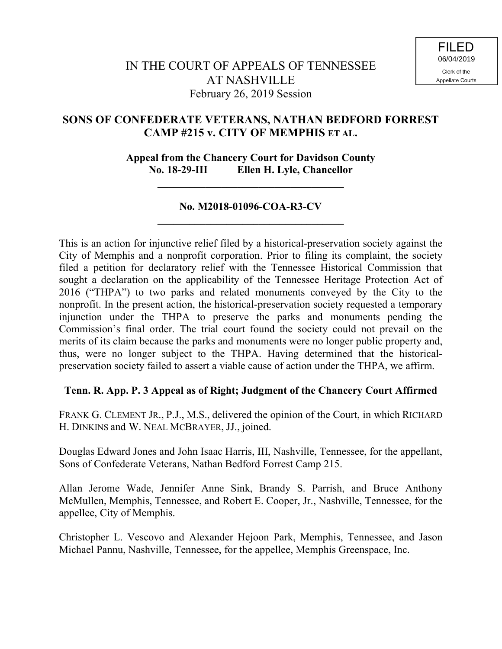# **SONS OF CONFEDERATE VETERANS, NATHAN BEDFORD FORREST CAMP #215 v. CITY OF MEMPHIS ET AL.**

### **Appeal from the Chancery Court for Davidson County No. 18-29-III Ellen H. Lyle, Chancellor**

**\_\_\_\_\_\_\_\_\_\_\_\_\_\_\_\_\_\_\_\_\_\_\_\_\_\_\_\_\_\_\_\_\_\_\_**

## **No. M2018-01096-COA-R3-CV \_\_\_\_\_\_\_\_\_\_\_\_\_\_\_\_\_\_\_\_\_\_\_\_\_\_\_\_\_\_\_\_\_\_\_**

This is an action for injunctive relief filed by a historical-preservation society against the City of Memphis and a nonprofit corporation. Prior to filing its complaint, the society filed a petition for declaratory relief with the Tennessee Historical Commission that sought a declaration on the applicability of the Tennessee Heritage Protection Act of 2016 ("THPA") to two parks and related monuments conveyed by the City to the nonprofit. In the present action, the historical-preservation society requested a temporary injunction under the THPA to preserve the parks and monuments pending the Commission's final order. The trial court found the society could not prevail on the merits of its claim because the parks and monuments were no longer public property and, thus, were no longer subject to the THPA. Having determined that the historicalpreservation society failed to assert a viable cause of action under the THPA, we affirm.

## **Tenn. R. App. P. 3 Appeal as of Right; Judgment of the Chancery Court Affirmed**

FRANK G. CLEMENT JR., P.J., M.S., delivered the opinion of the Court, in which RICHARD H. DINKINS and W. NEAL MCBRAYER, JJ., joined.

Douglas Edward Jones and John Isaac Harris, III, Nashville, Tennessee, for the appellant, Sons of Confederate Veterans, Nathan Bedford Forrest Camp 215.

Allan Jerome Wade, Jennifer Anne Sink, Brandy S. Parrish, and Bruce Anthony McMullen, Memphis, Tennessee, and Robert E. Cooper, Jr., Nashville, Tennessee, for the appellee, City of Memphis.

Christopher L. Vescovo and Alexander Hejoon Park, Memphis, Tennessee, and Jason Michael Pannu, Nashville, Tennessee, for the appellee, Memphis Greenspace, Inc.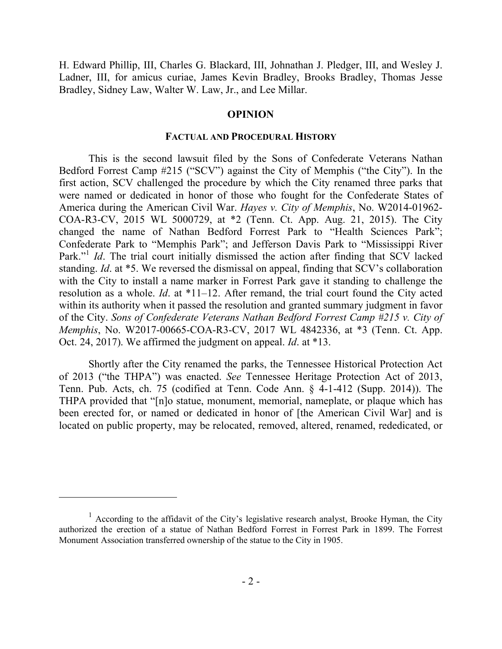H. Edward Phillip, III, Charles G. Blackard, III, Johnathan J. Pledger, III, and Wesley J. Ladner, III, for amicus curiae, James Kevin Bradley, Brooks Bradley, Thomas Jesse Bradley, Sidney Law, Walter W. Law, Jr., and Lee Millar.

### **OPINION**

#### **FACTUAL AND PROCEDURAL HISTORY**

This is the second lawsuit filed by the Sons of Confederate Veterans Nathan Bedford Forrest Camp #215 ("SCV") against the City of Memphis ("the City"). In the first action, SCV challenged the procedure by which the City renamed three parks that were named or dedicated in honor of those who fought for the Confederate States of America during the American Civil War. *Hayes v. City of Memphis*, No. W2014-01962- COA-R3-CV, 2015 WL 5000729, at \*2 (Tenn. Ct. App. Aug. 21, 2015). The City changed the name of Nathan Bedford Forrest Park to "Health Sciences Park"; Confederate Park to "Memphis Park"; and Jefferson Davis Park to "Mississippi River Park."<sup>1</sup> *Id*. The trial court initially dismissed the action after finding that SCV lacked standing. *Id*. at \*5. We reversed the dismissal on appeal, finding that SCV's collaboration with the City to install a name marker in Forrest Park gave it standing to challenge the resolution as a whole. *Id*. at \*11–12. After remand, the trial court found the City acted within its authority when it passed the resolution and granted summary judgment in favor of the City. *Sons of Confederate Veterans Nathan Bedford Forrest Camp #215 v. City of Memphis*, No. W2017-00665-COA-R3-CV, 2017 WL 4842336, at \*3 (Tenn. Ct. App. Oct. 24, 2017). We affirmed the judgment on appeal. *Id*. at \*13.

Shortly after the City renamed the parks, the Tennessee Historical Protection Act of 2013 ("the THPA") was enacted. *See* Tennessee Heritage Protection Act of 2013, Tenn. Pub. Acts, ch. 75 (codified at Tenn. Code Ann. § 4-1-412 (Supp. 2014)). The THPA provided that "[n]o statue, monument, memorial, nameplate, or plaque which has been erected for, or named or dedicated in honor of [the American Civil War] and is located on public property, may be relocated, removed, altered, renamed, rededicated, or

 $<sup>1</sup>$  According to the affidavit of the City's legislative research analyst, Brooke Hyman, the City</sup> authorized the erection of a statue of Nathan Bedford Forrest in Forrest Park in 1899. The Forrest Monument Association transferred ownership of the statue to the City in 1905.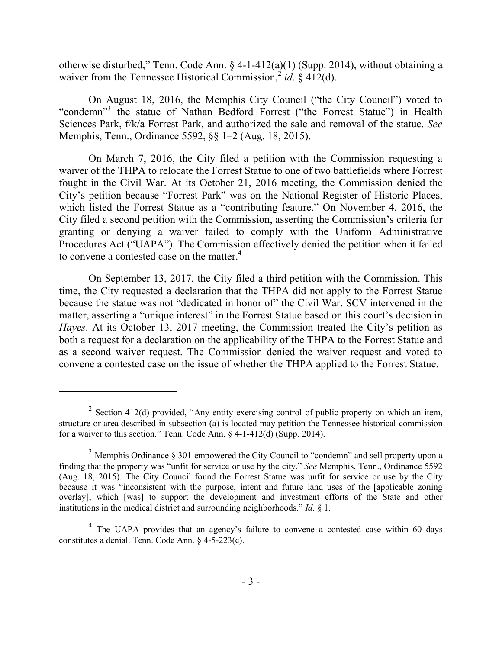otherwise disturbed," Tenn. Code Ann. § 4-1-412(a)(1) (Supp. 2014), without obtaining a waiver from the Tennessee Historical Commission,  $\frac{2}{g}$  *id.* § 412(d).

On August 18, 2016, the Memphis City Council ("the City Council") voted to "condemn"<sup>3</sup> the statue of Nathan Bedford Forrest ("the Forrest Statue") in Health Sciences Park, f/k/a Forrest Park, and authorized the sale and removal of the statue. *See* Memphis, Tenn., Ordinance 5592, §§ 1–2 (Aug. 18, 2015).

On March 7, 2016, the City filed a petition with the Commission requesting a waiver of the THPA to relocate the Forrest Statue to one of two battlefields where Forrest fought in the Civil War. At its October 21, 2016 meeting, the Commission denied the City's petition because "Forrest Park" was on the National Register of Historic Places, which listed the Forrest Statue as a "contributing feature." On November 4, 2016, the City filed a second petition with the Commission, asserting the Commission's criteria for granting or denying a waiver failed to comply with the Uniform Administrative Procedures Act ("UAPA"). The Commission effectively denied the petition when it failed to convene a contested case on the matter.<sup>4</sup>

On September 13, 2017, the City filed a third petition with the Commission. This time, the City requested a declaration that the THPA did not apply to the Forrest Statue because the statue was not "dedicated in honor of" the Civil War. SCV intervened in the matter, asserting a "unique interest" in the Forrest Statue based on this court's decision in *Hayes*. At its October 13, 2017 meeting, the Commission treated the City's petition as both a request for a declaration on the applicability of the THPA to the Forrest Statue and as a second waiver request. The Commission denied the waiver request and voted to convene a contested case on the issue of whether the THPA applied to the Forrest Statue.

<sup>&</sup>lt;sup>2</sup> Section 412(d) provided, "Any entity exercising control of public property on which an item, structure or area described in subsection (a) is located may petition the Tennessee historical commission for a waiver to this section." Tenn. Code Ann. § 4-1-412(d) (Supp. 2014).

<sup>&</sup>lt;sup>3</sup> Memphis Ordinance § 301 empowered the City Council to "condemn" and sell property upon a finding that the property was "unfit for service or use by the city." *See* Memphis, Tenn., Ordinance 5592 (Aug. 18, 2015). The City Council found the Forrest Statue was unfit for service or use by the City because it was "inconsistent with the purpose, intent and future land uses of the [applicable zoning overlay], which [was] to support the development and investment efforts of the State and other institutions in the medical district and surrounding neighborhoods." *Id*. § 1.

<sup>&</sup>lt;sup>4</sup> The UAPA provides that an agency's failure to convene a contested case within 60 days constitutes a denial. Tenn. Code Ann. § 4-5-223(c).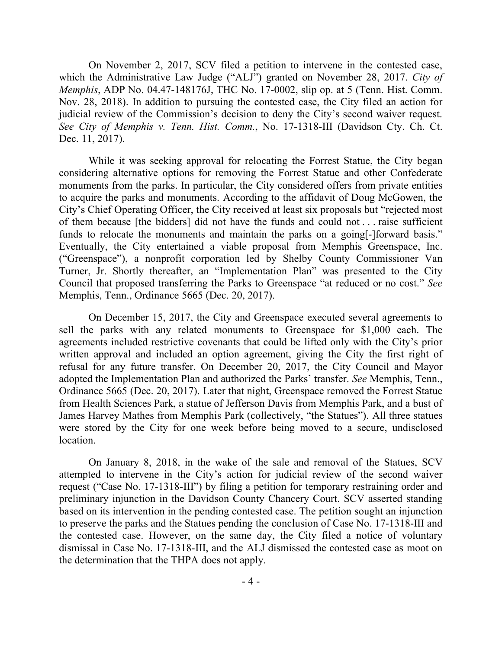On November 2, 2017, SCV filed a petition to intervene in the contested case, which the Administrative Law Judge ("ALJ") granted on November 28, 2017. *City of Memphis*, ADP No. 04.47-148176J, THC No. 17-0002, slip op. at 5 (Tenn. Hist. Comm. Nov. 28, 2018). In addition to pursuing the contested case, the City filed an action for judicial review of the Commission's decision to deny the City's second waiver request. *See City of Memphis v. Tenn. Hist. Comm.*, No. 17-1318-III (Davidson Cty. Ch. Ct. Dec. 11, 2017).

While it was seeking approval for relocating the Forrest Statue, the City began considering alternative options for removing the Forrest Statue and other Confederate monuments from the parks. In particular, the City considered offers from private entities to acquire the parks and monuments. According to the affidavit of Doug McGowen, the City's Chief Operating Officer, the City received at least six proposals but "rejected most of them because [the bidders] did not have the funds and could not . . . raise sufficient funds to relocate the monuments and maintain the parks on a going[-]forward basis." Eventually, the City entertained a viable proposal from Memphis Greenspace, Inc. ("Greenspace"), a nonprofit corporation led by Shelby County Commissioner Van Turner, Jr. Shortly thereafter, an "Implementation Plan" was presented to the City Council that proposed transferring the Parks to Greenspace "at reduced or no cost." *See* Memphis, Tenn., Ordinance 5665 (Dec. 20, 2017).

On December 15, 2017, the City and Greenspace executed several agreements to sell the parks with any related monuments to Greenspace for \$1,000 each. The agreements included restrictive covenants that could be lifted only with the City's prior written approval and included an option agreement, giving the City the first right of refusal for any future transfer. On December 20, 2017, the City Council and Mayor adopted the Implementation Plan and authorized the Parks' transfer. *See* Memphis, Tenn., Ordinance 5665 (Dec. 20, 2017). Later that night, Greenspace removed the Forrest Statue from Health Sciences Park, a statue of Jefferson Davis from Memphis Park, and a bust of James Harvey Mathes from Memphis Park (collectively, "the Statues"). All three statues were stored by the City for one week before being moved to a secure, undisclosed location.

On January 8, 2018, in the wake of the sale and removal of the Statues, SCV attempted to intervene in the City's action for judicial review of the second waiver request ("Case No. 17-1318-III") by filing a petition for temporary restraining order and preliminary injunction in the Davidson County Chancery Court. SCV asserted standing based on its intervention in the pending contested case. The petition sought an injunction to preserve the parks and the Statues pending the conclusion of Case No. 17-1318-III and the contested case. However, on the same day, the City filed a notice of voluntary dismissal in Case No. 17-1318-III, and the ALJ dismissed the contested case as moot on the determination that the THPA does not apply.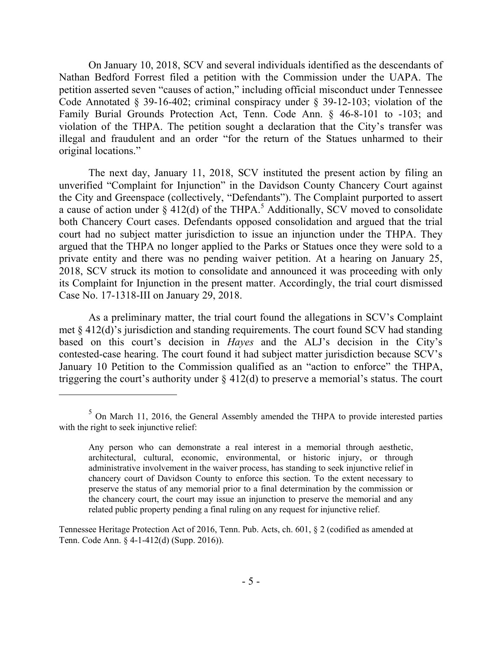On January 10, 2018, SCV and several individuals identified as the descendants of Nathan Bedford Forrest filed a petition with the Commission under the UAPA. The petition asserted seven "causes of action," including official misconduct under Tennessee Code Annotated § 39-16-402; criminal conspiracy under § 39-12-103; violation of the Family Burial Grounds Protection Act, Tenn. Code Ann. § 46-8-101 to -103; and violation of the THPA. The petition sought a declaration that the City's transfer was illegal and fraudulent and an order "for the return of the Statues unharmed to their original locations."

The next day, January 11, 2018, SCV instituted the present action by filing an unverified "Complaint for Injunction" in the Davidson County Chancery Court against the City and Greenspace (collectively, "Defendants"). The Complaint purported to assert a cause of action under  $\S$  412(d) of the THPA.<sup>5</sup> Additionally, SCV moved to consolidate both Chancery Court cases. Defendants opposed consolidation and argued that the trial court had no subject matter jurisdiction to issue an injunction under the THPA. They argued that the THPA no longer applied to the Parks or Statues once they were sold to a private entity and there was no pending waiver petition. At a hearing on January 25, 2018, SCV struck its motion to consolidate and announced it was proceeding with only its Complaint for Injunction in the present matter. Accordingly, the trial court dismissed Case No. 17-1318-III on January 29, 2018.

As a preliminary matter, the trial court found the allegations in SCV's Complaint met § 412(d)'s jurisdiction and standing requirements. The court found SCV had standing based on this court's decision in *Hayes* and the ALJ's decision in the City's contested-case hearing. The court found it had subject matter jurisdiction because SCV's January 10 Petition to the Commission qualified as an "action to enforce" the THPA, triggering the court's authority under  $\S 412(d)$  to preserve a memorial's status. The court

 $5$  On March 11, 2016, the General Assembly amended the THPA to provide interested parties with the right to seek injunctive relief:

Any person who can demonstrate a real interest in a memorial through aesthetic, architectural, cultural, economic, environmental, or historic injury, or through administrative involvement in the waiver process, has standing to seek injunctive relief in chancery court of Davidson County to enforce this section. To the extent necessary to preserve the status of any memorial prior to a final determination by the commission or the chancery court, the court may issue an injunction to preserve the memorial and any related public property pending a final ruling on any request for injunctive relief.

Tennessee Heritage Protection Act of 2016, Tenn. Pub. Acts, ch. 601, § 2 (codified as amended at Tenn. Code Ann. § 4-1-412(d) (Supp. 2016)).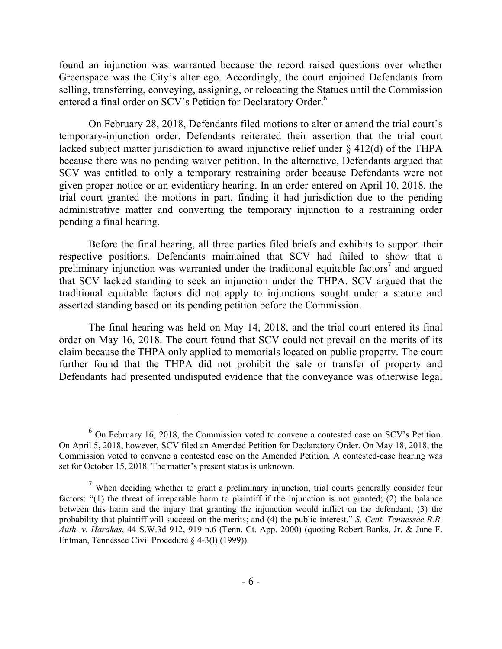found an injunction was warranted because the record raised questions over whether Greenspace was the City's alter ego. Accordingly, the court enjoined Defendants from selling, transferring, conveying, assigning, or relocating the Statues until the Commission entered a final order on SCV's Petition for Declaratory Order.<sup>6</sup>

On February 28, 2018, Defendants filed motions to alter or amend the trial court's temporary-injunction order. Defendants reiterated their assertion that the trial court lacked subject matter jurisdiction to award injunctive relief under § 412(d) of the THPA because there was no pending waiver petition. In the alternative, Defendants argued that SCV was entitled to only a temporary restraining order because Defendants were not given proper notice or an evidentiary hearing. In an order entered on April 10, 2018, the trial court granted the motions in part, finding it had jurisdiction due to the pending administrative matter and converting the temporary injunction to a restraining order pending a final hearing.

Before the final hearing, all three parties filed briefs and exhibits to support their respective positions. Defendants maintained that SCV had failed to show that a preliminary injunction was warranted under the traditional equitable factors<sup>7</sup> and argued that SCV lacked standing to seek an injunction under the THPA. SCV argued that the traditional equitable factors did not apply to injunctions sought under a statute and asserted standing based on its pending petition before the Commission.

The final hearing was held on May 14, 2018, and the trial court entered its final order on May 16, 2018. The court found that SCV could not prevail on the merits of its claim because the THPA only applied to memorials located on public property. The court further found that the THPA did not prohibit the sale or transfer of property and Defendants had presented undisputed evidence that the conveyance was otherwise legal

 $6$  On February 16, 2018, the Commission voted to convene a contested case on SCV's Petition. On April 5, 2018, however, SCV filed an Amended Petition for Declaratory Order. On May 18, 2018, the Commission voted to convene a contested case on the Amended Petition. A contested-case hearing was set for October 15, 2018. The matter's present status is unknown.

<sup>&</sup>lt;sup>7</sup> When deciding whether to grant a preliminary injunction, trial courts generally consider four factors: "(1) the threat of irreparable harm to plaintiff if the injunction is not granted; (2) the balance between this harm and the injury that granting the injunction would inflict on the defendant; (3) the probability that plaintiff will succeed on the merits; and (4) the public interest." *S. Cent. Tennessee R.R. Auth. v. Harakas*, 44 S.W.3d 912, 919 n.6 (Tenn. Ct. App. 2000) (quoting Robert Banks, Jr. & June F. Entman, Tennessee Civil Procedure § 4-3(l) (1999)).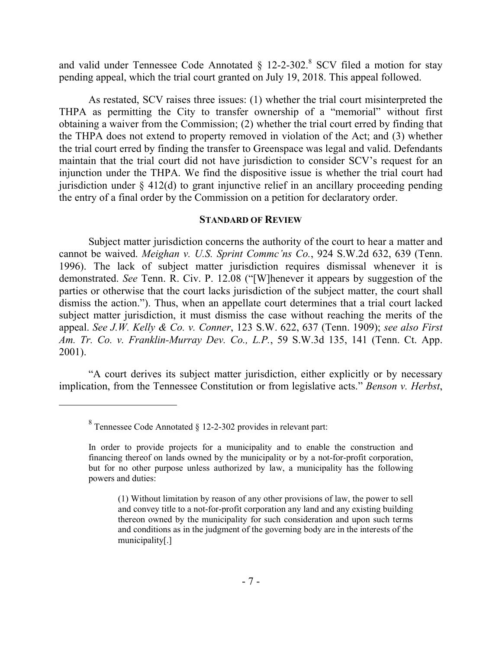and valid under Tennessee Code Annotated  $\S$  12-2-302.<sup>8</sup> SCV filed a motion for stay pending appeal, which the trial court granted on July 19, 2018. This appeal followed.

As restated, SCV raises three issues: (1) whether the trial court misinterpreted the THPA as permitting the City to transfer ownership of a "memorial" without first obtaining a waiver from the Commission; (2) whether the trial court erred by finding that the THPA does not extend to property removed in violation of the Act; and (3) whether the trial court erred by finding the transfer to Greenspace was legal and valid. Defendants maintain that the trial court did not have jurisdiction to consider SCV's request for an injunction under the THPA. We find the dispositive issue is whether the trial court had jurisdiction under § 412(d) to grant injunctive relief in an ancillary proceeding pending the entry of a final order by the Commission on a petition for declaratory order.

### **STANDARD OF REVIEW**

Subject matter jurisdiction concerns the authority of the court to hear a matter and cannot be waived. *Meighan v. U.S. Sprint Commc'ns Co.*, 924 S.W.2d 632, 639 (Tenn. 1996). The lack of subject matter jurisdiction requires dismissal whenever it is demonstrated. *See* Tenn. R. Civ. P. 12.08 ("[W]henever it appears by suggestion of the parties or otherwise that the court lacks jurisdiction of the subject matter, the court shall dismiss the action."). Thus, when an appellate court determines that a trial court lacked subject matter jurisdiction, it must dismiss the case without reaching the merits of the appeal. *See J.W. Kelly & Co. v. Conner*, 123 S.W. 622, 637 (Tenn. 1909); *see also First Am. Tr. Co. v. Franklin-Murray Dev. Co., L.P.*, 59 S.W.3d 135, 141 (Tenn. Ct. App. 2001).

"A court derives its subject matter jurisdiction, either explicitly or by necessary implication, from the Tennessee Constitution or from legislative acts." *Benson v. Herbst*,

 $8$  Tennessee Code Annotated  $\S$  12-2-302 provides in relevant part:

In order to provide projects for a municipality and to enable the construction and financing thereof on lands owned by the municipality or by a not-for-profit corporation, but for no other purpose unless authorized by law, a municipality has the following powers and duties:

<sup>(1)</sup> Without limitation by reason of any other provisions of law, the power to sell and convey title to a not-for-profit corporation any land and any existing building thereon owned by the municipality for such consideration and upon such terms and conditions as in the judgment of the governing body are in the interests of the municipality[.]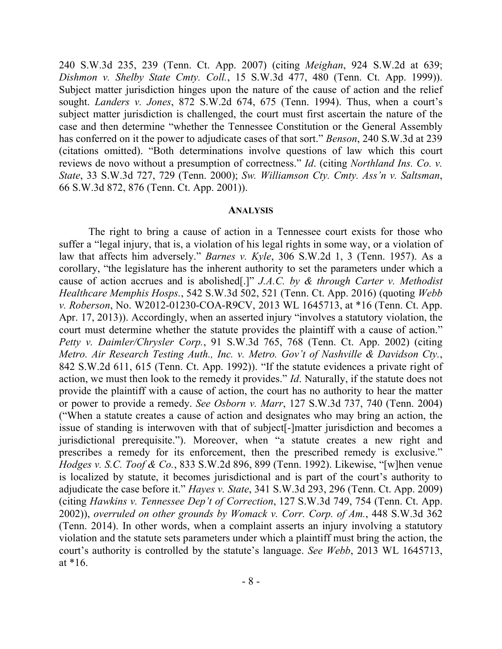240 S.W.3d 235, 239 (Tenn. Ct. App. 2007) (citing *Meighan*, 924 S.W.2d at 639; *Dishmon v. Shelby State Cmty. Coll.*, 15 S.W.3d 477, 480 (Tenn. Ct. App. 1999)). Subject matter jurisdiction hinges upon the nature of the cause of action and the relief sought. *Landers v. Jones*, 872 S.W.2d 674, 675 (Tenn. 1994). Thus, when a court's subject matter jurisdiction is challenged, the court must first ascertain the nature of the case and then determine "whether the Tennessee Constitution or the General Assembly has conferred on it the power to adjudicate cases of that sort." *Benson*, 240 S.W.3d at 239 (citations omitted). "Both determinations involve questions of law which this court reviews de novo without a presumption of correctness." *Id*. (citing *Northland Ins. Co. v. State*, 33 S.W.3d 727, 729 (Tenn. 2000); *Sw. Williamson Cty. Cmty. Ass'n v. Saltsman*, 66 S.W.3d 872, 876 (Tenn. Ct. App. 2001)).

#### **ANALYSIS**

The right to bring a cause of action in a Tennessee court exists for those who suffer a "legal injury, that is, a violation of his legal rights in some way, or a violation of law that affects him adversely." *Barnes v. Kyle*, 306 S.W.2d 1, 3 (Tenn. 1957). As a corollary, "the legislature has the inherent authority to set the parameters under which a cause of action accrues and is abolished[.]" *J.A.C. by & through Carter v. Methodist Healthcare Memphis Hosps.*, 542 S.W.3d 502, 521 (Tenn. Ct. App. 2016) (quoting *Webb v. Roberson*, No. W2012-01230-COA-R9CV, 2013 WL 1645713, at \*16 (Tenn. Ct. App. Apr. 17, 2013)). Accordingly, when an asserted injury "involves a statutory violation, the court must determine whether the statute provides the plaintiff with a cause of action." *Petty v. Daimler/Chrysler Corp.*, 91 S.W.3d 765, 768 (Tenn. Ct. App. 2002) (citing *Metro. Air Research Testing Auth., Inc. v. Metro. Gov't of Nashville & Davidson Cty.*, 842 S.W.2d 611, 615 (Tenn. Ct. App. 1992)). "If the statute evidences a private right of action, we must then look to the remedy it provides." *Id*. Naturally, if the statute does not provide the plaintiff with a cause of action, the court has no authority to hear the matter or power to provide a remedy. *See Osborn v. Marr*, 127 S.W.3d 737, 740 (Tenn. 2004) ("When a statute creates a cause of action and designates who may bring an action, the issue of standing is interwoven with that of subject[-]matter jurisdiction and becomes a jurisdictional prerequisite."). Moreover, when "a statute creates a new right and prescribes a remedy for its enforcement, then the prescribed remedy is exclusive." *Hodges v. S.C. Toof & Co.*, 833 S.W.2d 896, 899 (Tenn. 1992). Likewise, "[w]hen venue is localized by statute, it becomes jurisdictional and is part of the court's authority to adjudicate the case before it." *Hayes v. State*, 341 S.W.3d 293, 296 (Tenn. Ct. App. 2009) (citing *Hawkins v. Tennessee Dep't of Correction*, 127 S.W.3d 749, 754 (Tenn. Ct. App. 2002)), *overruled on other grounds by Womack v. Corr. Corp. of Am.*, 448 S.W.3d 362 (Tenn. 2014). In other words, when a complaint asserts an injury involving a statutory violation and the statute sets parameters under which a plaintiff must bring the action, the court's authority is controlled by the statute's language. *See Webb*, 2013 WL 1645713, at \*16.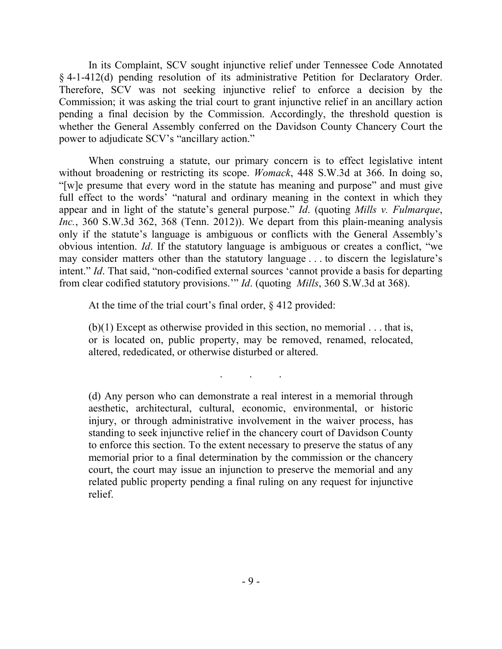In its Complaint, SCV sought injunctive relief under Tennessee Code Annotated § 4-1-412(d) pending resolution of its administrative Petition for Declaratory Order. Therefore, SCV was not seeking injunctive relief to enforce a decision by the Commission; it was asking the trial court to grant injunctive relief in an ancillary action pending a final decision by the Commission. Accordingly, the threshold question is whether the General Assembly conferred on the Davidson County Chancery Court the power to adjudicate SCV's "ancillary action."

When construing a statute, our primary concern is to effect legislative intent without broadening or restricting its scope. *Womack*, 448 S.W.3d at 366. In doing so, "[w]e presume that every word in the statute has meaning and purpose" and must give full effect to the words' "natural and ordinary meaning in the context in which they appear and in light of the statute's general purpose." *Id*. (quoting *Mills v. Fulmarque*, *Inc.*, 360 S.W.3d 362, 368 (Tenn. 2012)). We depart from this plain-meaning analysis only if the statute's language is ambiguous or conflicts with the General Assembly's obvious intention. *Id*. If the statutory language is ambiguous or creates a conflict, "we may consider matters other than the statutory language . . . to discern the legislature's intent." *Id*. That said, "non-codified external sources 'cannot provide a basis for departing from clear codified statutory provisions.'" *Id*. (quoting *Mills*, 360 S.W.3d at 368).

At the time of the trial court's final order, § 412 provided:

 $(b)(1)$  Except as otherwise provided in this section, no memorial  $\dots$  that is, or is located on, public property, may be removed, renamed, relocated, altered, rededicated, or otherwise disturbed or altered.

. . .

(d) Any person who can demonstrate a real interest in a memorial through aesthetic, architectural, cultural, economic, environmental, or historic injury, or through administrative involvement in the waiver process, has standing to seek injunctive relief in the chancery court of Davidson County to enforce this section. To the extent necessary to preserve the status of any memorial prior to a final determination by the commission or the chancery court, the court may issue an injunction to preserve the memorial and any related public property pending a final ruling on any request for injunctive relief.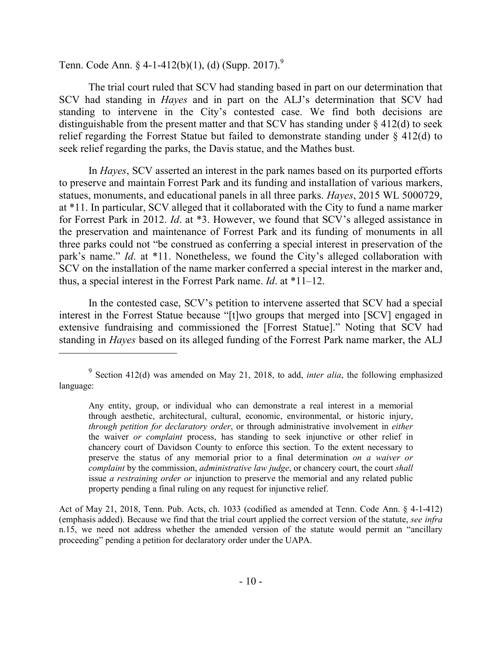Tenn. Code Ann. § 4-1-412(b)(1), (d) (Supp. 2017).<sup>9</sup>

 $\overline{a}$ 

The trial court ruled that SCV had standing based in part on our determination that SCV had standing in *Hayes* and in part on the ALJ's determination that SCV had standing to intervene in the City's contested case. We find both decisions are distinguishable from the present matter and that SCV has standing under  $\S$  412(d) to seek relief regarding the Forrest Statue but failed to demonstrate standing under § 412(d) to seek relief regarding the parks, the Davis statue, and the Mathes bust.

In *Hayes*, SCV asserted an interest in the park names based on its purported efforts to preserve and maintain Forrest Park and its funding and installation of various markers, statues, monuments, and educational panels in all three parks. *Hayes*, 2015 WL 5000729, at \*11. In particular, SCV alleged that it collaborated with the City to fund a name marker for Forrest Park in 2012. *Id*. at \*3. However, we found that SCV's alleged assistance in the preservation and maintenance of Forrest Park and its funding of monuments in all three parks could not "be construed as conferring a special interest in preservation of the park's name." *Id*. at \*11. Nonetheless, we found the City's alleged collaboration with SCV on the installation of the name marker conferred a special interest in the marker and, thus, a special interest in the Forrest Park name. *Id*. at \*11–12.

In the contested case, SCV's petition to intervene asserted that SCV had a special interest in the Forrest Statue because "[t]wo groups that merged into [SCV] engaged in extensive fundraising and commissioned the [Forrest Statue]." Noting that SCV had standing in *Hayes* based on its alleged funding of the Forrest Park name marker, the ALJ

Act of May 21, 2018, Tenn. Pub. Acts, ch. 1033 (codified as amended at Tenn. Code Ann. § 4-1-412) (emphasis added). Because we find that the trial court applied the correct version of the statute, *see infra* n.15, we need not address whether the amended version of the statute would permit an "ancillary proceeding" pending a petition for declaratory order under the UAPA.

<sup>&</sup>lt;sup>9</sup> Section 412(d) was amended on May 21, 2018, to add, *inter alia*, the following emphasized language:

Any entity, group, or individual who can demonstrate a real interest in a memorial through aesthetic, architectural, cultural, economic, environmental, or historic injury, *through petition for declaratory order*, or through administrative involvement in *either* the waiver *or complaint* process, has standing to seek injunctive or other relief in chancery court of Davidson County to enforce this section. To the extent necessary to preserve the status of any memorial prior to a final determination *on a waiver or complaint* by the commission, *administrative law judge*, or chancery court, the court *shall* issue *a restraining order or* injunction to preserve the memorial and any related public property pending a final ruling on any request for injunctive relief.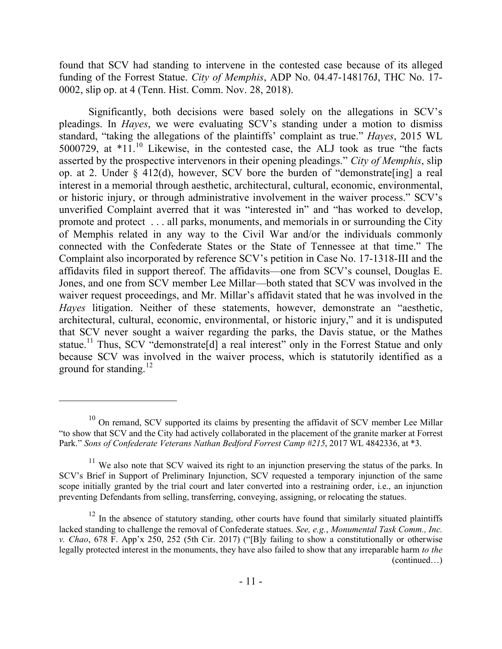found that SCV had standing to intervene in the contested case because of its alleged funding of the Forrest Statue. *City of Memphis*, ADP No. 04.47-148176J, THC No. 17- 0002, slip op. at 4 (Tenn. Hist. Comm. Nov. 28, 2018).

Significantly, both decisions were based solely on the allegations in SCV's pleadings. In *Hayes*, we were evaluating SCV's standing under a motion to dismiss standard, "taking the allegations of the plaintiffs' complaint as true." *Hayes*, 2015 WL 5000729, at \*11. <sup>10</sup> Likewise, in the contested case, the ALJ took as true "the facts asserted by the prospective intervenors in their opening pleadings." *City of Memphis*, slip op. at 2. Under § 412(d), however, SCV bore the burden of "demonstrate[ing] a real interest in a memorial through aesthetic, architectural, cultural, economic, environmental, or historic injury, or through administrative involvement in the waiver process." SCV's unverified Complaint averred that it was "interested in" and "has worked to develop, promote and protect . . . all parks, monuments, and memorials in or surrounding the City of Memphis related in any way to the Civil War and/or the individuals commonly connected with the Confederate States or the State of Tennessee at that time." The Complaint also incorporated by reference SCV's petition in Case No. 17-1318-III and the affidavits filed in support thereof. The affidavits—one from SCV's counsel, Douglas E. Jones, and one from SCV member Lee Millar—both stated that SCV was involved in the waiver request proceedings, and Mr. Millar's affidavit stated that he was involved in the *Hayes* litigation. Neither of these statements, however, demonstrate an "aesthetic, architectural, cultural, economic, environmental, or historic injury," and it is undisputed that SCV never sought a waiver regarding the parks, the Davis statue, or the Mathes statue.<sup>11</sup> Thus, SCV "demonstrate<sup>[d]</sup> a real interest" only in the Forrest Statue and only because SCV was involved in the waiver process, which is statutorily identified as a ground for standing. $^{12}$ 

 $10$  On remand, SCV supported its claims by presenting the affidavit of SCV member Lee Millar "to show that SCV and the City had actively collaborated in the placement of the granite marker at Forrest Park." *Sons of Confederate Veterans Nathan Bedford Forrest Camp #215*, 2017 WL 4842336, at \*3.

 $11$  We also note that SCV waived its right to an injunction preserving the status of the parks. In SCV's Brief in Support of Preliminary Injunction, SCV requested a temporary injunction of the same scope initially granted by the trial court and later converted into a restraining order, i.e., an injunction preventing Defendants from selling, transferring, conveying, assigning, or relocating the statues.

 $12$  In the absence of statutory standing, other courts have found that similarly situated plaintiffs lacked standing to challenge the removal of Confederate statues. *See, e.g.*, *Monumental Task Comm., Inc. v. Chao*, 678 F. App'x 250, 252 (5th Cir. 2017) ("[B]y failing to show a constitutionally or otherwise legally protected interest in the monuments, they have also failed to show that any irreparable harm *to the*  (continued…)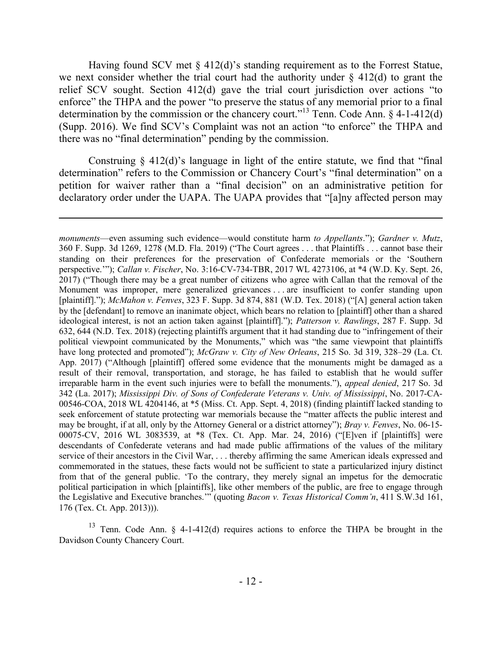Having found SCV met § 412(d)'s standing requirement as to the Forrest Statue, we next consider whether the trial court had the authority under  $\S$  412(d) to grant the relief SCV sought. Section 412(d) gave the trial court jurisdiction over actions "to enforce" the THPA and the power "to preserve the status of any memorial prior to a final determination by the commission or the chancery court."<sup>13</sup> Tenn. Code Ann.  $\&$  4-1-412(d) (Supp. 2016). We find SCV's Complaint was not an action "to enforce" the THPA and there was no "final determination" pending by the commission.

Construing  $\S$  412(d)'s language in light of the entire statute, we find that "final" determination" refers to the Commission or Chancery Court's "final determination" on a petition for waiver rather than a "final decision" on an administrative petition for declaratory order under the UAPA. The UAPA provides that "[a]ny affected person may

<sup>13</sup> Tenn. Code Ann. § 4-1-412(d) requires actions to enforce the THPA be brought in the Davidson County Chancery Court.

*monuments*—even assuming such evidence—would constitute harm *to Appellants*."); *Gardner v. Mutz*, 360 F. Supp. 3d 1269, 1278 (M.D. Fla. 2019) ("The Court agrees . . . that Plaintiffs . . . cannot base their standing on their preferences for the preservation of Confederate memorials or the 'Southern perspective.'"); *Callan v. Fischer*, No. 3:16-CV-734-TBR, 2017 WL 4273106, at \*4 (W.D. Ky. Sept. 26, 2017) ("Though there may be a great number of citizens who agree with Callan that the removal of the Monument was improper, mere generalized grievances . . . are insufficient to confer standing upon [plaintiff]."); *McMahon v. Fenves*, 323 F. Supp. 3d 874, 881 (W.D. Tex. 2018) ("[A] general action taken by the [defendant] to remove an inanimate object, which bears no relation to [plaintiff] other than a shared ideological interest, is not an action taken against [plaintiff]."); *Patterson v. Rawlings*, 287 F. Supp. 3d 632, 644 (N.D. Tex. 2018) (rejecting plaintiffs argument that it had standing due to "infringement of their political viewpoint communicated by the Monuments," which was "the same viewpoint that plaintiffs have long protected and promoted"); *McGraw v. City of New Orleans*, 215 So. 3d 319, 328–29 (La. Ct. App. 2017) ("Although [plaintiff] offered some evidence that the monuments might be damaged as a result of their removal, transportation, and storage, he has failed to establish that he would suffer irreparable harm in the event such injuries were to befall the monuments."), *appeal denied*, 217 So. 3d 342 (La. 2017); *Mississippi Div. of Sons of Confederate Veterans v. Univ. of Mississippi*, No. 2017-CA-00546-COA, 2018 WL 4204146, at \*5 (Miss. Ct. App. Sept. 4, 2018) (finding plaintiff lacked standing to seek enforcement of statute protecting war memorials because the "matter affects the public interest and may be brought, if at all, only by the Attorney General or a district attorney"); *Bray v. Fenves*, No. 06-15- 00075-CV, 2016 WL 3083539, at \*8 (Tex. Ct. App. Mar. 24, 2016) ("[E]ven if [plaintiffs] were descendants of Confederate veterans and had made public affirmations of the values of the military service of their ancestors in the Civil War, . . . thereby affirming the same American ideals expressed and commemorated in the statues, these facts would not be sufficient to state a particularized injury distinct from that of the general public. 'To the contrary, they merely signal an impetus for the democratic political participation in which [plaintiffs], like other members of the public, are free to engage through the Legislative and Executive branches.'" (quoting *Bacon v. Texas Historical Comm'n*, 411 S.W.3d 161, 176 (Tex. Ct. App. 2013))).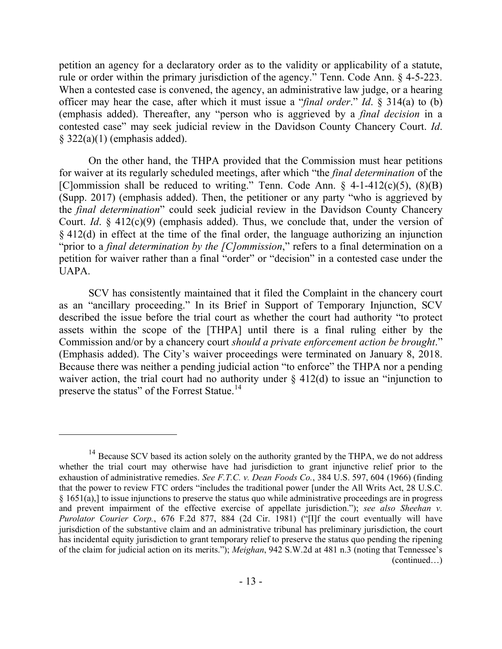petition an agency for a declaratory order as to the validity or applicability of a statute, rule or order within the primary jurisdiction of the agency." Tenn. Code Ann. § 4-5-223. When a contested case is convened, the agency, an administrative law judge, or a hearing officer may hear the case, after which it must issue a "*final order*." *Id*. § 314(a) to (b) (emphasis added). Thereafter, any "person who is aggrieved by a *final decision* in a contested case" may seek judicial review in the Davidson County Chancery Court. *Id*.  $§$  322(a)(1) (emphasis added).

On the other hand, the THPA provided that the Commission must hear petitions for waiver at its regularly scheduled meetings, after which "the *final determination* of the [C]ommission shall be reduced to writing." Tenn. Code Ann.  $\S$  4-1-412(c)(5), (8)(B) (Supp. 2017) (emphasis added). Then, the petitioner or any party "who is aggrieved by the *final determination*" could seek judicial review in the Davidson County Chancery Court. *Id*. § 412(c)(9) (emphasis added). Thus, we conclude that, under the version of § 412(d) in effect at the time of the final order, the language authorizing an injunction "prior to a *final determination by the [C]ommission*," refers to a final determination on a petition for waiver rather than a final "order" or "decision" in a contested case under the UAPA.

SCV has consistently maintained that it filed the Complaint in the chancery court as an "ancillary proceeding." In its Brief in Support of Temporary Injunction, SCV described the issue before the trial court as whether the court had authority "to protect assets within the scope of the [THPA] until there is a final ruling either by the Commission and/or by a chancery court *should a private enforcement action be brought*." (Emphasis added). The City's waiver proceedings were terminated on January 8, 2018. Because there was neither a pending judicial action "to enforce" the THPA nor a pending waiver action, the trial court had no authority under  $\S$  412(d) to issue an "injunction to preserve the status" of the Forrest Statue.<sup>14</sup>

<sup>&</sup>lt;sup>14</sup> Because SCV based its action solely on the authority granted by the THPA, we do not address whether the trial court may otherwise have had jurisdiction to grant injunctive relief prior to the exhaustion of administrative remedies. *See F.T.C. v. Dean Foods Co.*, 384 U.S. 597, 604 (1966) (finding that the power to review FTC orders "includes the traditional power [under the All Writs Act, 28 U.S.C. § 1651(a),] to issue injunctions to preserve the status quo while administrative proceedings are in progress and prevent impairment of the effective exercise of appellate jurisdiction."); *see also Sheehan v. Purolator Courier Corp.*, 676 F.2d 877, 884 (2d Cir. 1981) ("[I]f the court eventually will have jurisdiction of the substantive claim and an administrative tribunal has preliminary jurisdiction, the court has incidental equity jurisdiction to grant temporary relief to preserve the status quo pending the ripening of the claim for judicial action on its merits."); *Meighan*, 942 S.W.2d at 481 n.3 (noting that Tennessee's (continued…)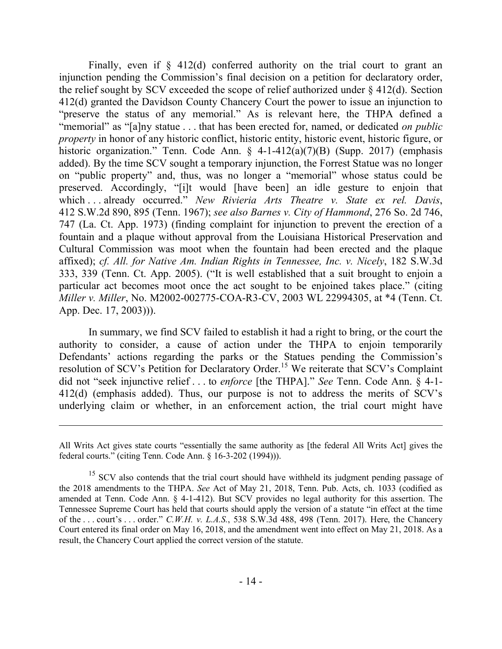Finally, even if  $\S$  412(d) conferred authority on the trial court to grant an injunction pending the Commission's final decision on a petition for declaratory order, the relief sought by SCV exceeded the scope of relief authorized under  $\S$  412(d). Section 412(d) granted the Davidson County Chancery Court the power to issue an injunction to "preserve the status of any memorial." As is relevant here, the THPA defined a "memorial" as "[a]ny statue . . . that has been erected for, named, or dedicated *on public property* in honor of any historic conflict, historic entity, historic event, historic figure, or historic organization." Tenn. Code Ann. § 4-1-412(a)(7)(B) (Supp. 2017) (emphasis added). By the time SCV sought a temporary injunction, the Forrest Statue was no longer on "public property" and, thus, was no longer a "memorial" whose status could be preserved. Accordingly, "[i]t would [have been] an idle gesture to enjoin that which . . . already occurred." *New Rivieria Arts Theatre v. State ex rel. Davis*, 412 S.W.2d 890, 895 (Tenn. 1967); *see also Barnes v. City of Hammond*, 276 So. 2d 746, 747 (La. Ct. App. 1973) (finding complaint for injunction to prevent the erection of a fountain and a plaque without approval from the Louisiana Historical Preservation and Cultural Commission was moot when the fountain had been erected and the plaque affixed); *cf. All. for Native Am. Indian Rights in Tennessee, Inc. v. Nicely*, 182 S.W.3d 333, 339 (Tenn. Ct. App. 2005). ("It is well established that a suit brought to enjoin a particular act becomes moot once the act sought to be enjoined takes place." (citing *Miller v. Miller*, No. M2002-002775-COA-R3-CV, 2003 WL 22994305, at \*4 (Tenn. Ct. App. Dec. 17, 2003))).

In summary, we find SCV failed to establish it had a right to bring, or the court the authority to consider, a cause of action under the THPA to enjoin temporarily Defendants' actions regarding the parks or the Statues pending the Commission's resolution of SCV's Petition for Declaratory Order. <sup>15</sup> We reiterate that SCV's Complaint did not "seek injunctive relief . . . to *enforce* [the THPA]." *See* Tenn. Code Ann. § 4-1- 412(d) (emphasis added). Thus, our purpose is not to address the merits of SCV's underlying claim or whether, in an enforcement action, the trial court might have

All Writs Act gives state courts "essentially the same authority as [the federal All Writs Act] gives the federal courts." (citing Tenn. Code Ann. § 16-3-202 (1994))).

<sup>&</sup>lt;sup>15</sup> SCV also contends that the trial court should have withheld its judgment pending passage of the 2018 amendments to the THPA. *See* Act of May 21, 2018, Tenn. Pub. Acts, ch. 1033 (codified as amended at Tenn. Code Ann. § 4-1-412). But SCV provides no legal authority for this assertion. The Tennessee Supreme Court has held that courts should apply the version of a statute "in effect at the time of the . . . court's . . . order." *C.W.H. v. L.A.S.*, 538 S.W.3d 488, 498 (Tenn. 2017). Here, the Chancery Court entered its final order on May 16, 2018, and the amendment went into effect on May 21, 2018. As a result, the Chancery Court applied the correct version of the statute.